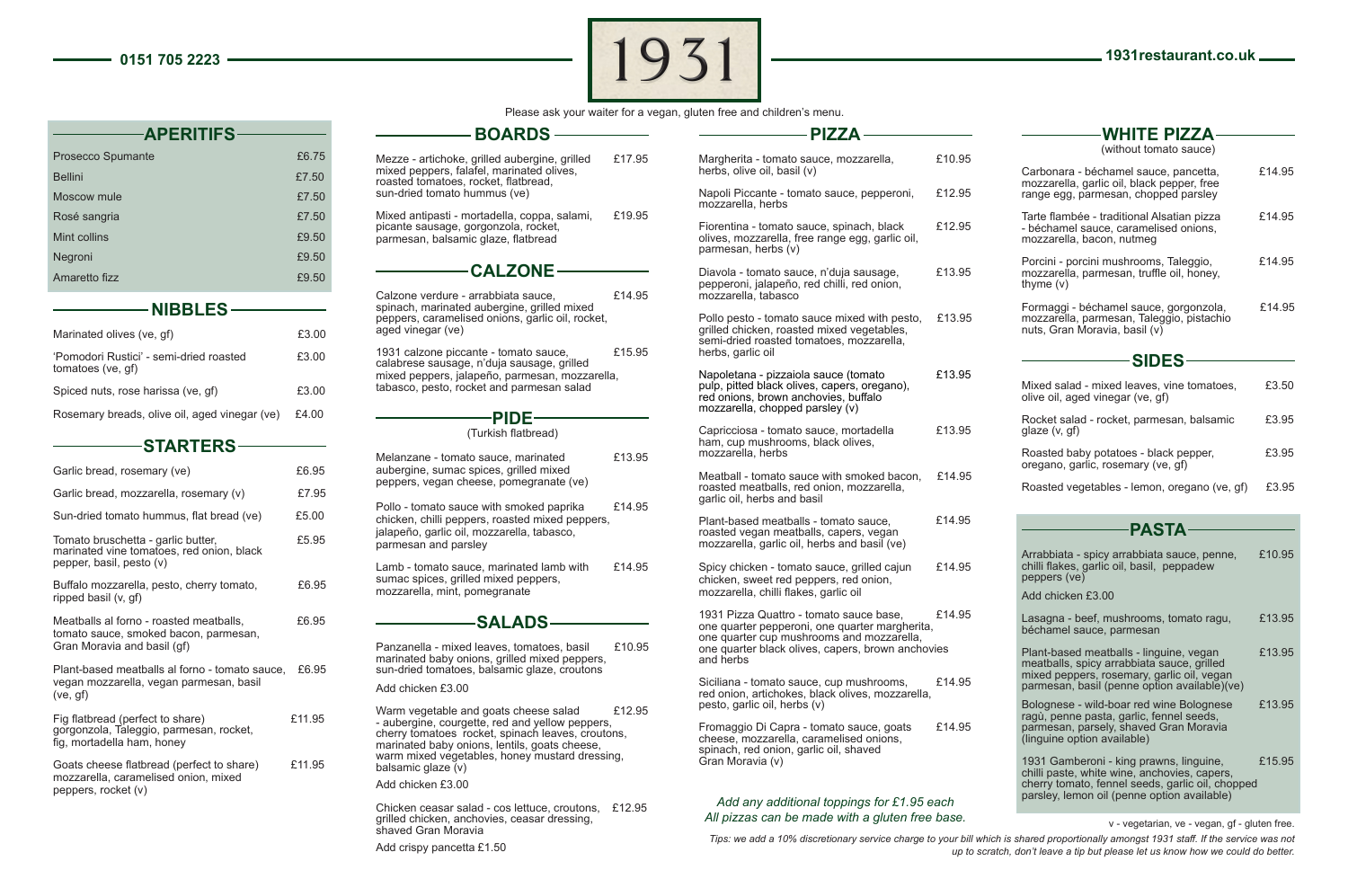peppers, rocket (v)

**APERITIFS**



Please ask your waiter for a vegan, gluten free and children's menu.

| Prosecco Spumante                                                                                           | £6.75                                                                                                                                                                                                              | Mezze - artichoke, grilled aubergine, grilled<br>£17.95                                                                                               |  |
|-------------------------------------------------------------------------------------------------------------|--------------------------------------------------------------------------------------------------------------------------------------------------------------------------------------------------------------------|-------------------------------------------------------------------------------------------------------------------------------------------------------|--|
| <b>Bellini</b>                                                                                              | £7.50                                                                                                                                                                                                              | mixed peppers, falafel, marinated olives,<br>roasted tomatoes, rocket, flatbread,                                                                     |  |
| Moscow mule                                                                                                 | £7.50                                                                                                                                                                                                              | sun-dried tomato hummus (ve)                                                                                                                          |  |
| Rosé sangria                                                                                                | £7.50                                                                                                                                                                                                              | Mixed antipasti - mortadella, coppa, salami,<br>£19.95<br>picante sausage, gorgonzola, rocket,                                                        |  |
| Mint collins                                                                                                | £9.50                                                                                                                                                                                                              | parmesan, balsamic glaze, flatbread                                                                                                                   |  |
| Negroni                                                                                                     | £9.50                                                                                                                                                                                                              |                                                                                                                                                       |  |
| Amaretto fizz                                                                                               | £9.50                                                                                                                                                                                                              | $-$ CALZONE $-$                                                                                                                                       |  |
| $\rule{1em}{0.15mm}$ $\blacksquare$ $\blacksquare$ $\blacksquare$ $\blacksquare$                            |                                                                                                                                                                                                                    | Calzone verdure - arrabbiata sauce,<br>£14.95<br>spinach, marinated aubergine, grilled mixed                                                          |  |
| Marinated olives (ve, gf)                                                                                   | £3.00                                                                                                                                                                                                              | peppers, caramelised onions, garlic oil, rocket,<br>aged vinegar (ve)                                                                                 |  |
| 'Pomodori Rustici' - semi-dried roasted<br>tomatoes (ve, gf)                                                | £3.00                                                                                                                                                                                                              | 1931 calzone piccante - tomato sauce,<br>£15.95<br>calabrese sausage, n'duja sausage, grilled<br>mixed peppers, jalapeño, parmesan, mozzarella,       |  |
| Spiced nuts, rose harissa (ve, gf)                                                                          | £3.00                                                                                                                                                                                                              | tabasco, pesto, rocket and parmesan salad                                                                                                             |  |
| Rosemary breads, olive oil, aged vinegar (ve)                                                               | £4.00                                                                                                                                                                                                              | -PIDE-<br>(Turkish flatbread)                                                                                                                         |  |
| ———STARTERS—                                                                                                |                                                                                                                                                                                                                    |                                                                                                                                                       |  |
| Garlic bread, rosemary (ve)                                                                                 | £6.95                                                                                                                                                                                                              | £13.95<br>Melanzane - tomato sauce, marinated<br>aubergine, sumac spices, grilled mixed<br>peppers, vegan cheese, pomegranate (ve)                    |  |
| Garlic bread, mozzarella, rosemary (v)                                                                      | £7.95                                                                                                                                                                                                              |                                                                                                                                                       |  |
| Sun-dried tomato hummus, flat bread (ve)                                                                    | £5.00                                                                                                                                                                                                              | Pollo - tomato sauce with smoked paprika<br>£14.95<br>chicken, chilli peppers, roasted mixed peppers,                                                 |  |
| Tomato bruschetta - garlic butter,<br>marinated vine tomatoes, red onion, black<br>pepper, basil, pesto (v) | £5.95                                                                                                                                                                                                              | jalapeño, garlic oil, mozzarella, tabasco,<br>parmesan and parsley                                                                                    |  |
| Buffalo mozzarella, pesto, cherry tomato,<br>ripped basil (v, gf)                                           | £6.95                                                                                                                                                                                                              | £14.95<br>Lamb - tomato sauce, marinated lamb with<br>sumac spices, grilled mixed peppers,<br>mozzarella, mint, pomegranate                           |  |
| Meatballs al forno - roasted meatballs,<br>tomato sauce, smoked bacon, parmesan,                            | £6.95                                                                                                                                                                                                              |                                                                                                                                                       |  |
| Gran Moravia and basil (qf)<br>Plant-based meatballs al forno - tomato sauce,                               | £6.95                                                                                                                                                                                                              | Panzanella - mixed leaves, tomatoes, basil<br>£10.95<br>marinated baby onions, grilled mixed peppers,<br>sun-dried tomatoes, balsamic glaze, croutons |  |
| vegan mozzarella, vegan parmesan, basil<br>(ve, gf)                                                         |                                                                                                                                                                                                                    | Add chicken £3.00                                                                                                                                     |  |
| Fig flatbread (perfect to share)<br>gorgonzola, Taleggio, parmesan, rocket,<br>fig, mortadella ham, honey   | £12.95<br>Warm vegetable and goats cheese salad<br>£11.95<br>- aubergine, courgette, red and yellow peppers,<br>cherry tomatoes rocket, spinach leaves, croutons,<br>marinated baby onions, lentils, goats cheese, |                                                                                                                                                       |  |
| Goats cheese flatbread (perfect to share)<br>mozzarella, caramelised onion, mixed<br>nennere rocket (v)     | £11.95                                                                                                                                                                                                             | warm mixed vegetables, honey mustard dressing,<br>balsamic glaze (v)<br>Add chicken £3.00                                                             |  |

Chicken ceasar salad - cos lettuce, croutons, £12.95 grilled chicken, anchovies, ceasar dressing, shaved Gran Moravia

**BOARDS**

Add crispy pancetta £1.50

|   | <b>PIZZA</b>                                                                                                                                                    |        | <b>WHITE PIZZA-</b>                                                                                                                                                                        |        |
|---|-----------------------------------------------------------------------------------------------------------------------------------------------------------------|--------|--------------------------------------------------------------------------------------------------------------------------------------------------------------------------------------------|--------|
| 5 | Margherita - tomato sauce, mozzarella,                                                                                                                          | £10.95 | (without tomato sauce)                                                                                                                                                                     |        |
|   | herbs, olive oil, basil (v)                                                                                                                                     |        | Carbonara - béchamel sauce, pancetta,<br>mozzarella, garlic oil, black pepper, free                                                                                                        | £14.95 |
|   | Napoli Piccante - tomato sauce, pepperoni,<br>mozzarella, herbs                                                                                                 | £12.95 | range egg, parmesan, chopped parsley                                                                                                                                                       |        |
| 5 | Fiorentina - tomato sauce, spinach, black<br>olives, mozzarella, free range egg, garlic oil,<br>parmesan, herbs (v)                                             | £12.95 | Tarte flambée - traditional Alsatian pizza<br>- béchamel sauce, caramelised onions,<br>mozzarella, bacon, nutmeg                                                                           | £14.95 |
| 5 | Diavola - tomato sauce, n'duja sausage,<br>pepperoni, jalapeño, red chilli, red onion,<br>mozzarella, tabasco                                                   | £13.95 | Porcini - porcini mushrooms, Taleggio,<br>mozzarella, parmesan, truffle oil, honey,<br>thyme $(v)$                                                                                         | £14.95 |
|   | Pollo pesto - tomato sauce mixed with pesto,<br>grilled chicken, roasted mixed vegetables,<br>semi-dried roasted tomatoes, mozzarella,<br>herbs, garlic oil     | £13.95 | Formaggi - béchamel sauce, gorgonzola,<br>mozzarella, parmesan, Taleggio, pistachio<br>nuts, Gran Moravia, basil (v)                                                                       | £14.95 |
|   |                                                                                                                                                                 |        | <b>SIDES</b>                                                                                                                                                                               |        |
|   | Napoletana - pizzaiola sauce (tomato<br>pulp, pitted black olives, capers, oregano),<br>red onions, brown anchovies, buffalo<br>mozzarella, chopped parsley (v) | £13.95 | Mixed salad - mixed leaves, vine tomatoes,<br>olive oil, aged vinegar (ve, gf)                                                                                                             | £3.50  |
|   | Capricciosa - tomato sauce, mortadella                                                                                                                          | £13.95 | Rocket salad - rocket, parmesan, balsamic<br>glaze (v, gf)                                                                                                                                 | £3.95  |
| 5 | ham, cup mushrooms, black olives,<br>mozzarella, herbs                                                                                                          |        | Roasted baby potatoes - black pepper,<br>oregano, garlic, rosemary (ve, gf)                                                                                                                | £3.95  |
|   | Meatball - tomato sauce with smoked bacon,<br>roasted meatballs, red onion, mozzarella,<br>garlic oil, herbs and basil                                          | £14.95 | Roasted vegetables - lemon, oregano (ve, gf)                                                                                                                                               | £3.95  |
|   | Plant-based meatballs - tomato sauce,                                                                                                                           | £14.95 |                                                                                                                                                                                            |        |
|   | roasted vegan meatballs, capers, vegan<br>mozzarella, garlic oil, herbs and basil (ve)                                                                          |        | <b>PASTA-</b>                                                                                                                                                                              | £10.95 |
|   | Spicy chicken - tomato sauce, grilled cajun<br>chicken, sweet red peppers, red onion,                                                                           | £14.95 | Arrabbiata - spicy arrabbiata sauce, penne,<br>chilli flakes, garlic oil, basil, peppadew<br>peppers (ve)                                                                                  |        |
|   | mozzarella, chilli flakes, garlic oil                                                                                                                           |        | Add chicken £3.00                                                                                                                                                                          |        |
|   | 1931 Pizza Quattro - tomato sauce base,<br>one quarter pepperoni, one quarter margherita,<br>one quarter cup mushrooms and mozzarella,                          | £14.95 | Lasagna - beef, mushrooms, tomato ragu,<br>béchamel sauce, parmesan                                                                                                                        | £13.95 |
| 5 | one quarter black olives, capers, brown anchovies<br>and herbs                                                                                                  |        | Plant-based meatballs - linguine, vegan<br>meatballs, spicy arrabbiata sauce, grilled                                                                                                      | £13.95 |
|   | Siciliana - tomato sauce, cup mushrooms,<br>red onion, artichokes, black olives, mozzarella,                                                                    | £14.95 | mixed peppers, rosemary, garlic oil, vegan<br>parmesan, basil (penne option available)(ve)                                                                                                 |        |
|   | pesto, garlic oil, herbs (v)<br>Fromaggio Di Capra - tomato sauce, goats                                                                                        | £14.95 | Bolognese - wild-boar red wine Bolognese<br>ragù, penne pasta, garlic, fennel seeds,<br>parmesan, parsely, shaved Gran Moravia                                                             | £13.95 |
|   | cheese, mozzarella, caramelised onions,<br>spinach, red onion, garlic oil, shaved                                                                               |        | (linguine option available)                                                                                                                                                                |        |
|   | Gran Moravia (v)                                                                                                                                                |        | 1931 Gamberoni - king prawns, linguine,<br>chilli paste, white wine, anchovies, capers,<br>cherry tomato, fennel seeds, garlic oil, chopped<br>parsley, lemon oil (penne option available) | £15.95 |
|   | Add any additional toppings for £1.95 each<br>All pizzas can be made with a gluten free base.                                                                   |        |                                                                                                                                                                                            |        |
|   |                                                                                                                                                                 |        | v - vegetarian, ve - vegan, gf - gluten free.                                                                                                                                              |        |

*Tips: we add a 10% discretionary service charge to your bill which is shared proportionally amongst 1931 staff. If the service was not up to scratch, don't leave a tip but please let us know how we could do better.*